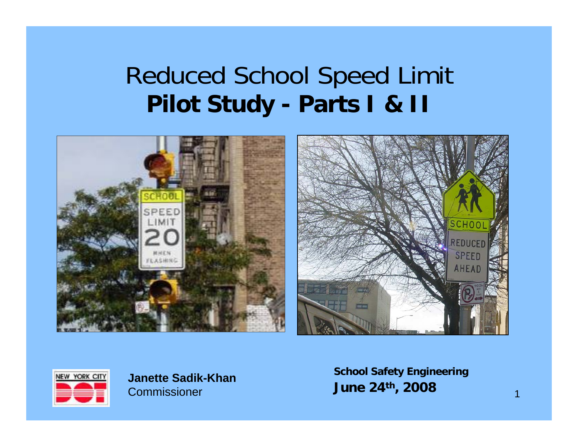## Reduced School Speed Limit **Pilot Study - Parts I & II**





**Janette Sadik-KhanCommissioner** 

**School Safety Engineering June 24th, 2008**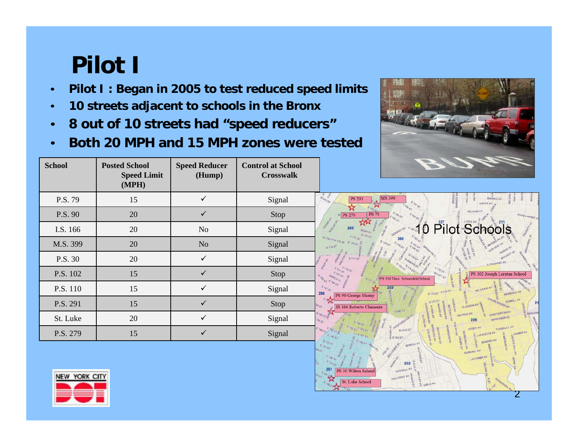## **Pilot I**

- •**Pilot I : Began in 2005 to test reduced speed limits**
- •**10 streets adjacent to schools in the Bronx**
- •**8 out of 10 streets had "speed reducers"**
- •**Both 20 MPH and 15 MPH zones were tested**

| <b>School</b> | <b>Posted School</b><br><b>Speed Limit</b><br>(MPH) | <b>Speed Reducer</b><br>(Hump) | <b>Control at School</b><br><b>Crosswalk</b> |
|---------------|-----------------------------------------------------|--------------------------------|----------------------------------------------|
| P.S. 79       | 15                                                  | ✓                              | Signal                                       |
| P.S. 90       | 20                                                  | ✓                              | Stop                                         |
| I.S. 166      | 20                                                  | N <sub>o</sub>                 | Signal                                       |
| M.S. 399      | 20                                                  | N <sub>o</sub>                 | Signal                                       |
| P.S. 30       | 20                                                  | ✓                              | Signal                                       |
| P.S. 102      | 15                                                  | ✓                              | Stop                                         |
| P.S. 110      | 15                                                  | ✓                              | Signal                                       |
| P.S. 291      | 15                                                  | ✓                              | Stop                                         |
| St. Luke      | 20                                                  | ✓                              | Signal                                       |
| P.S. 279      | 15                                                  | ✓                              | Signal                                       |





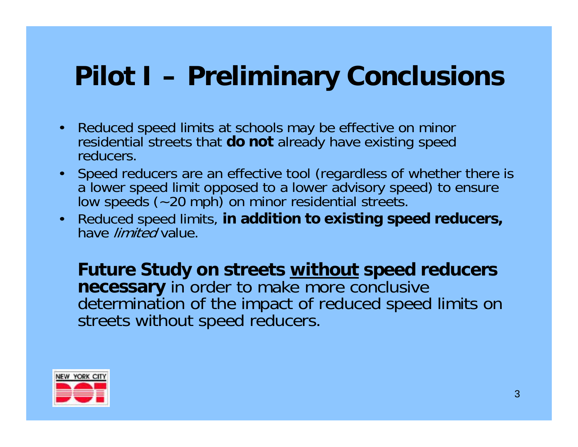## **Pilot I – Preliminary Conclusions**

- Reduced speed limits at schools may be effective on minor residential streets that **do not** already have existing speed reducers.
- Speed reducers are an effective tool (regardless of whether there is a lower speed limit opposed to a lower advisory speed) to ensure low speeds (~20 mph) on minor residential streets.
- Reduced speed limits, **in addition to existing speed reducers,**  have *limited* value.

**Future Study on streets without speed reducers necessary** in order to make more conclusive determination of the impact of reduced speed limits on streets without speed reducers.

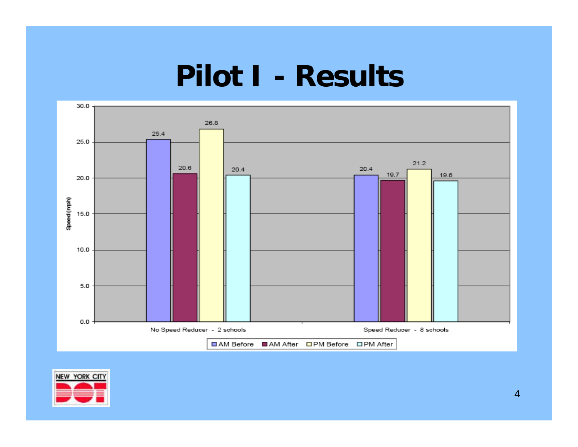## **Pilot I - Results**



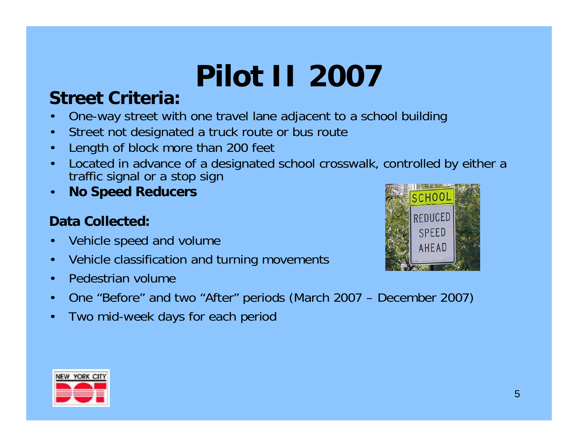# **Pilot II 2007**

#### **Street Criteria:**

- •One-way street with one travel lane adjacent to a school building
- •Street not designated a truck route or bus route
- •Length of block more than 200 feet
- • Located in advance of a designated school crosswalk, controlled by either a traffic signal or a stop sign
- •**No Speed Reducers**

#### **Data Collected:**

- •Vehicle speed and volume
- •Vehicle classification and turning movements
- •Pedestrian volume
- •One "Before" and two "After" periods (March 2007 – December 2007)
- •Two mid-week days for each period



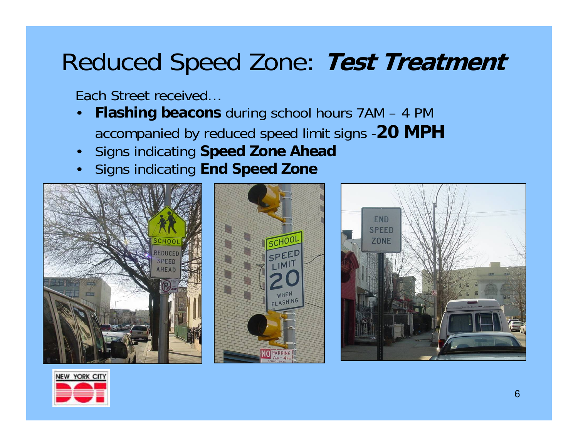## Reduced Speed Zone: **Test Treatment**

Each Street received…

- • **Flashing beacons** during school hours 7AM – 4 PM accompanied by reduced speed limit signs -**20 MPH**
- •Signs indicating **Speed Zone Ahead**
- •Signs indicating **End Speed Zone**







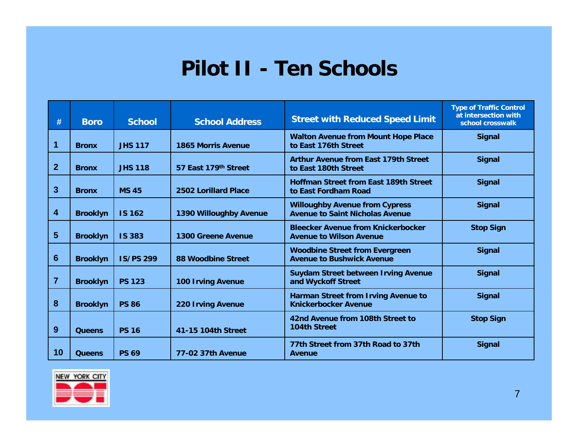#### **Pilot II - Ten Schools**

| #            | <b>Boro</b>     | <b>School</b>    | <b>School Address</b>       | <b>Street with Reduced Speed Limit</b>                                          | <b>Type of Traffic Control</b><br>at intersection with<br>school crosswalk |
|--------------|-----------------|------------------|-----------------------------|---------------------------------------------------------------------------------|----------------------------------------------------------------------------|
| 1            | <b>Bronx</b>    | <b>JHS 117</b>   | <b>1865 Morris Avenue</b>   | <b>Walton Avenue from Mount Hope Place</b><br>to East 176th Street              | <b>Signal</b>                                                              |
| $\mathbf{2}$ | <b>Bronx</b>    | <b>JHS 118</b>   | 57 East 179th Street        | <b>Arthur Avenue from East 179th Street</b><br>to East 180th Street             | <b>Signal</b>                                                              |
| 3            | <b>Bronx</b>    | <b>MS 45</b>     | <b>2502 Lorillard Place</b> | <b>Hoffman Street from East 189th Street</b><br>to East Fordham Road            | <b>Signal</b>                                                              |
| 4            | <b>Brooklyn</b> | <b>IS 162</b>    | 1390 Willoughby Avenue      | <b>Willoughby Avenue from Cypress</b><br><b>Avenue to Saint Nicholas Avenue</b> | <b>Signal</b>                                                              |
| 5            | <b>Brooklyn</b> | <b>IS 383</b>    | <b>1300 Greene Avenue</b>   | <b>Bleecker Avenue from Knickerbocker</b><br><b>Avenue to Wilson Avenue</b>     | <b>Stop Sign</b>                                                           |
| 6            | <b>Brooklyn</b> | <b>IS/PS 299</b> | 88 Woodbine Street          | <b>Woodbine Street from Evergreen</b><br><b>Avenue to Bushwick Avenue</b>       | <b>Signal</b>                                                              |
| 7            | <b>Brooklyn</b> | <b>PS 123</b>    | <b>100 Irving Avenue</b>    | <b>Suydam Street between Irving Avenue</b><br>and Wyckoff Street                | <b>Signal</b>                                                              |
| 8            | <b>Brooklyn</b> | <b>PS 86</b>     | <b>220 Irving Avenue</b>    | Harman Street from Irving Avenue to<br><b>Knickerbocker Avenue</b>              | <b>Signal</b>                                                              |
| 9            | <b>Queens</b>   | <b>PS 16</b>     | 41-15 104th Street          | 42nd Avenue from 108th Street to<br><b>104th Street</b>                         | <b>Stop Sign</b>                                                           |
| 10           | <b>Queens</b>   | <b>PS 69</b>     | <b>77-02 37th Avenue</b>    | 77th Street from 37th Road to 37th<br>Avenue                                    | <b>Signal</b>                                                              |

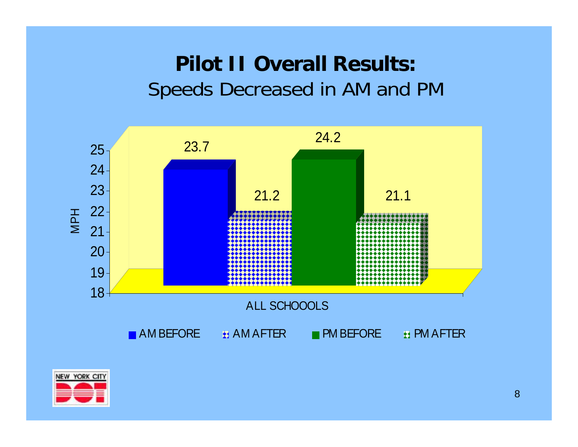### **Pilot II Overall Results:** Speeds Decreased in AM and PM



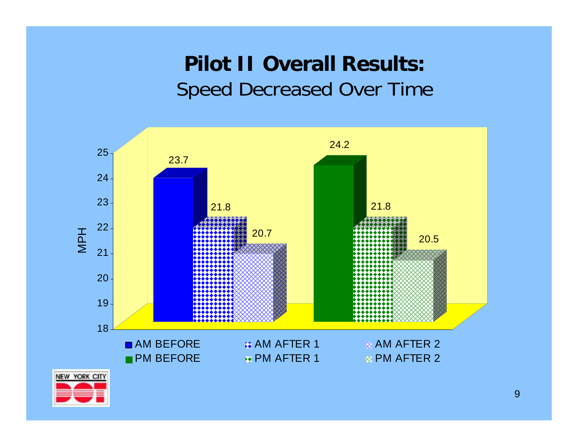### **Pilot II Overall Results:**  Speed Decreased Over Time



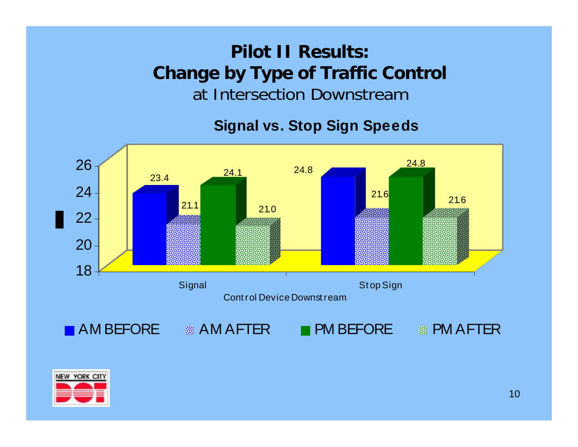#### **Pilot II Results: Change by Type of Traffic Control** at Intersection Downstream

#### **Signal vs. Stop Sign Speeds**



![](_page_9_Picture_3.jpeg)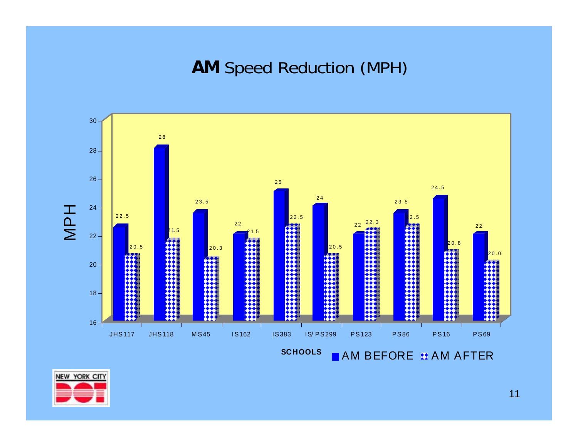**AM** Speed Reduction (MPH)

![](_page_10_Figure_1.jpeg)

![](_page_10_Picture_2.jpeg)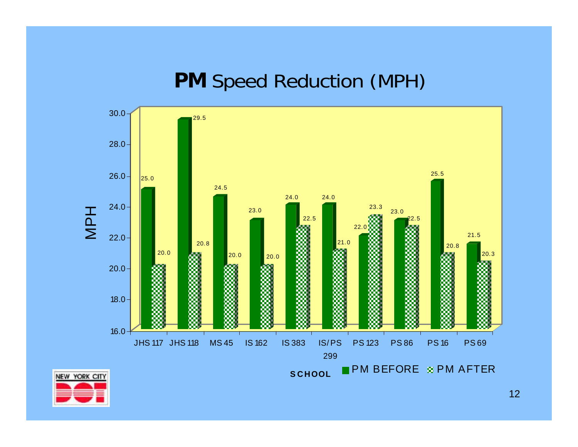#### **PM** Speed Reduction (MPH)

![](_page_11_Figure_1.jpeg)

![](_page_11_Picture_2.jpeg)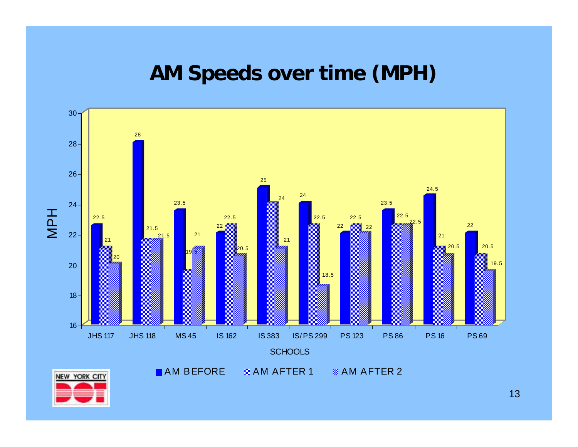#### **AM Speeds over time (MPH)**

![](_page_12_Figure_1.jpeg)

![](_page_12_Picture_2.jpeg)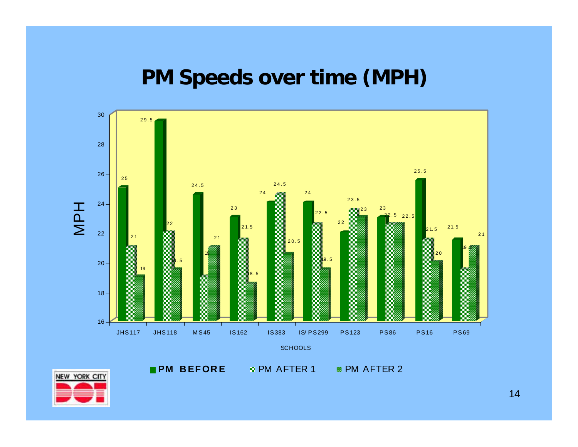#### **PM Speeds over time (MPH)**

![](_page_13_Figure_1.jpeg)

NEW YORK CITY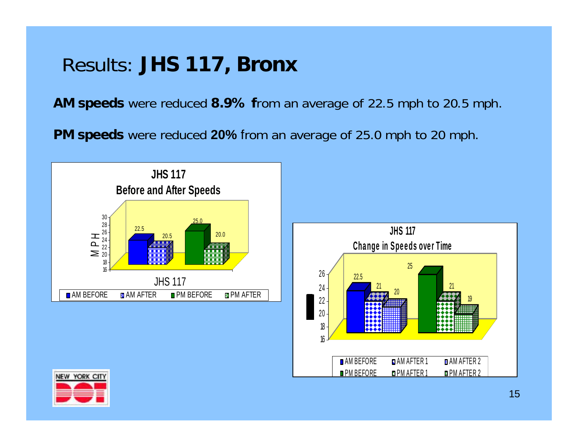### Results: **JHS 117, Bronx**

**AM speeds** were reduced **8.9% f**rom an average of 22.5 mph to 20.5 mph.

**PM speeds** were reduced 20% from an average of 25.0 mph to 20 mph.

![](_page_14_Figure_3.jpeg)

![](_page_14_Figure_4.jpeg)

![](_page_14_Picture_5.jpeg)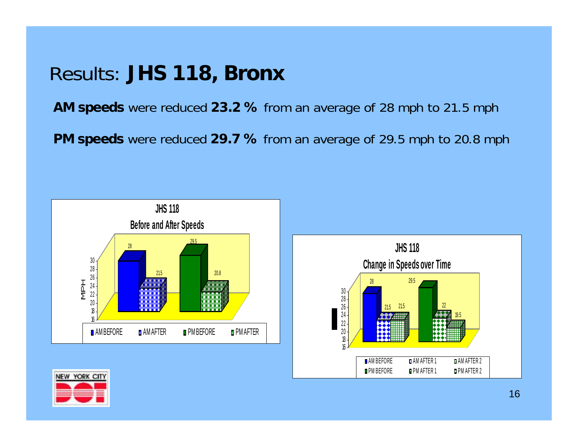#### Results: **JHS 118, Bronx**

**AM speeds** were reduced **23.2 %** from an average of 28 mph to 21.5 mph

**PM speeds** were reduced **29.7 %** from an average of 29.5 mph to 20.8 mph

![](_page_15_Figure_3.jpeg)

![](_page_15_Figure_4.jpeg)

![](_page_15_Picture_5.jpeg)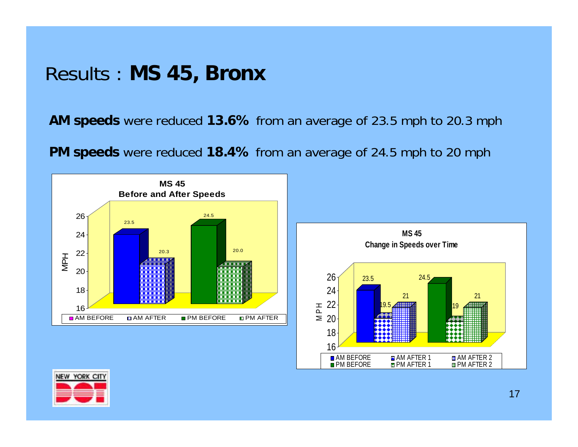#### Results : **MS 45, Bronx**

**AM speeds** were reduced **13.6%** from an average of 23.5 mph to 20.3 mph

**PM speeds** were reduced **18.4%** from an average of 24.5 mph to 20 mph

![](_page_16_Figure_3.jpeg)

![](_page_16_Figure_4.jpeg)

![](_page_16_Picture_5.jpeg)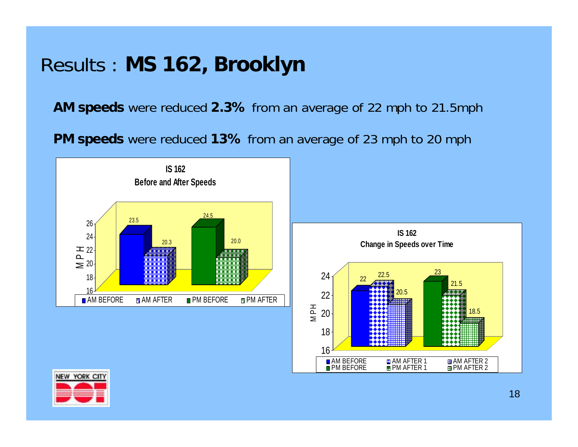### Results : **MS 162, Brooklyn**

**AM speeds** were reduced **2.3%** from an average of 22 mph to 21.5mph

**PM speeds** were reduced **13%** from an average of 23 mph to 20 mph

![](_page_17_Figure_3.jpeg)

![](_page_17_Figure_4.jpeg)

![](_page_17_Picture_5.jpeg)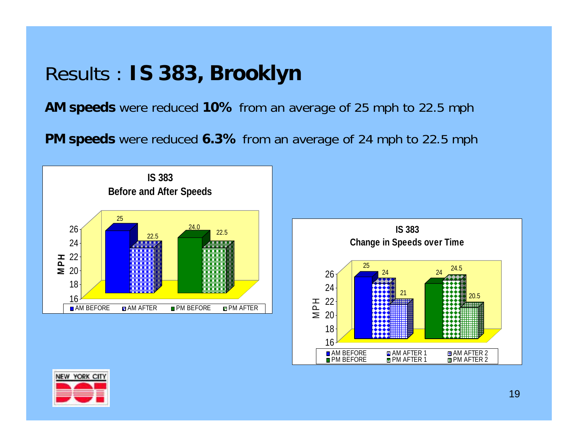#### Results : **IS 383, Brooklyn**

**AM speeds** were reduced **10%** from an average of 25 mph to 22.5 mph

**PM speeds** were reduced **6.3%** from an average of 24 mph to 22.5 mph

![](_page_18_Figure_3.jpeg)

![](_page_18_Figure_4.jpeg)

![](_page_18_Picture_5.jpeg)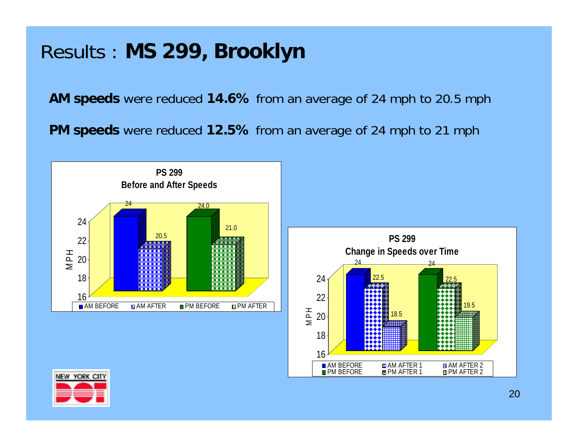### Results : **MS 299, Brooklyn**

**AM speeds** were reduced **14.6%** from an average of 24 mph to 20.5 mph

**PM speeds** were reduced **12.5%** from an average of 24 mph to 21 mph

![](_page_19_Figure_3.jpeg)

![](_page_19_Figure_4.jpeg)

![](_page_19_Picture_5.jpeg)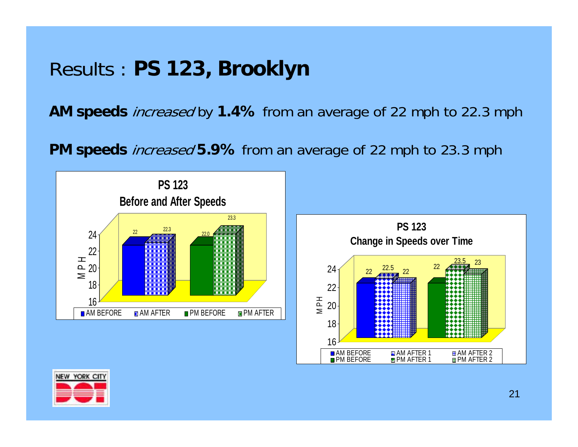#### Results : **PS 123, Brooklyn**

**AM speeds** increased by **1.4%** from an average of 22 mph to 22.3 mph

**PM speeds** increased **5.9%** from an average of 22 mph to 23.3 mph

![](_page_20_Figure_3.jpeg)

![](_page_20_Figure_4.jpeg)

![](_page_20_Picture_5.jpeg)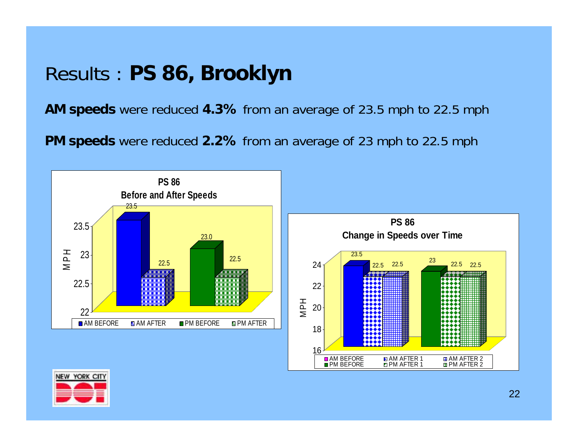### Results : **PS 86, Brooklyn**

**AM speeds** were reduced **4.3%** from an average of 23.5 mph to 22.5 mph

**PM speeds** were reduced **2.2%** from an average of 23 mph to 22.5 mph

![](_page_21_Figure_3.jpeg)

![](_page_21_Figure_4.jpeg)

![](_page_21_Picture_5.jpeg)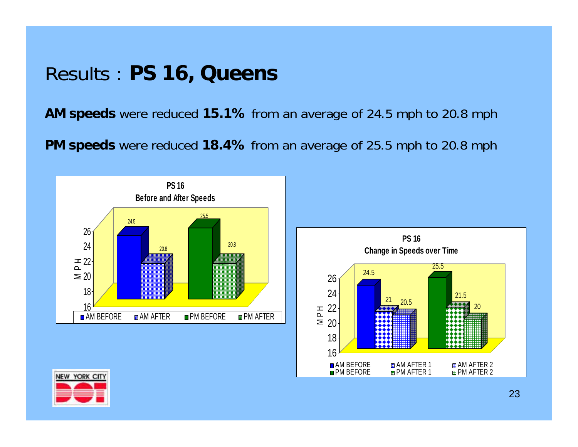#### Results : **PS 16, Queens**

**AM speeds** were reduced **15.1%** from an average of 24.5 mph to 20.8 mph

**PM speeds** were reduced **18.4%** from an average of 25.5 mph to 20.8 mph

![](_page_22_Figure_3.jpeg)

![](_page_22_Figure_4.jpeg)

![](_page_22_Picture_5.jpeg)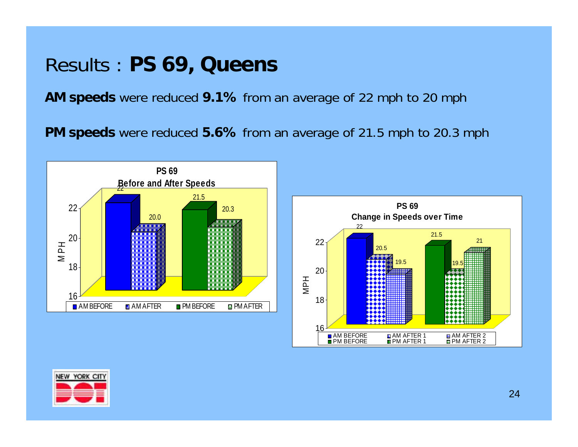#### Results : **PS 69, Queens**

**AM speeds** were reduced **9.1%** from an average of 22 mph to 20 mph

**PM speeds** were reduced **5.6%** from an average of 21.5 mph to 20.3 mph

![](_page_23_Figure_3.jpeg)

![](_page_23_Figure_4.jpeg)

![](_page_23_Picture_5.jpeg)